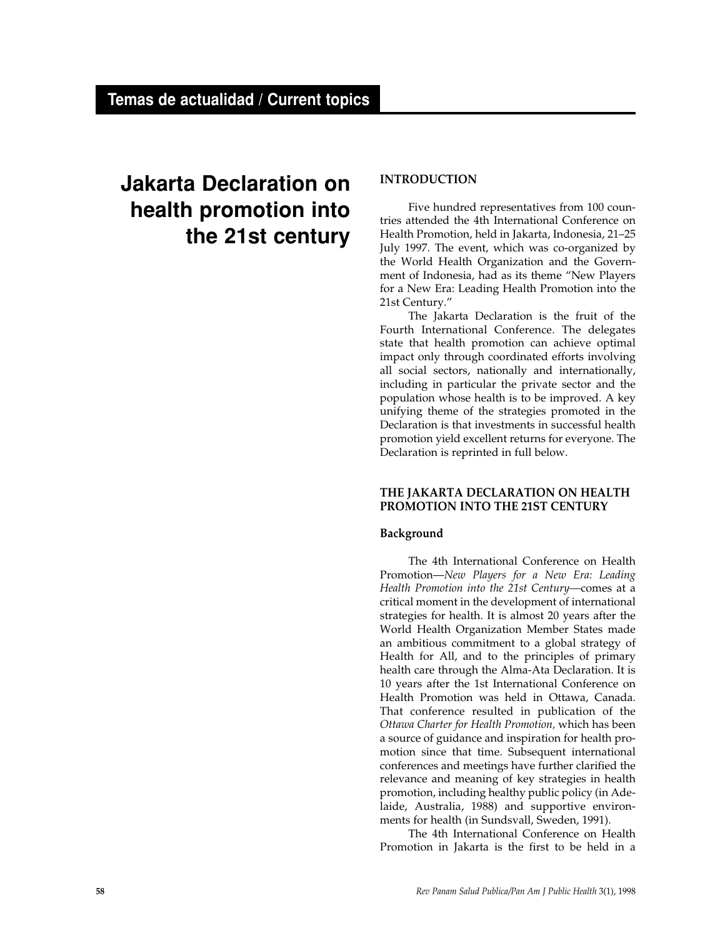# **Jakarta Declaration on health promotion into the 21st century**

# **INTRODUCTION**

Five hundred representatives from 100 countries attended the 4th International Conference on Health Promotion, held in Jakarta, Indonesia, 21–25 July 1997. The event, which was co-organized by the World Health Organization and the Government of Indonesia, had as its theme "New Players for a New Era: Leading Health Promotion into the 21st Century."

The Jakarta Declaration is the fruit of the Fourth International Conference. The delegates state that health promotion can achieve optimal impact only through coordinated efforts involving all social sectors, nationally and internationally, including in particular the private sector and the population whose health is to be improved. A key unifying theme of the strategies promoted in the Declaration is that investments in successful health promotion yield excellent returns for everyone. The Declaration is reprinted in full below.

# **THE JAKARTA DECLARATION ON HEALTH PROMOTION INTO THE 21ST CENTURY**

# **Background**

The 4th International Conference on Health Promotion—*New Players for a New Era: Leading Health Promotion into the 21st Century—*comes at a critical moment in the development of international strategies for health. It is almost 20 years after the World Health Organization Member States made an ambitious commitment to a global strategy of Health for All, and to the principles of primary health care through the Alma-Ata Declaration. It is 10 years after the 1st International Conference on Health Promotion was held in Ottawa, Canada. That conference resulted in publication of the *Ottawa Charter for Health Promotion,* which has been a source of guidance and inspiration for health promotion since that time. Subsequent international conferences and meetings have further clarified the relevance and meaning of key strategies in health promotion, including healthy public policy (in Adelaide, Australia, 1988) and supportive environments for health (in Sundsvall, Sweden, 1991).

The 4th International Conference on Health Promotion in Jakarta is the first to be held in a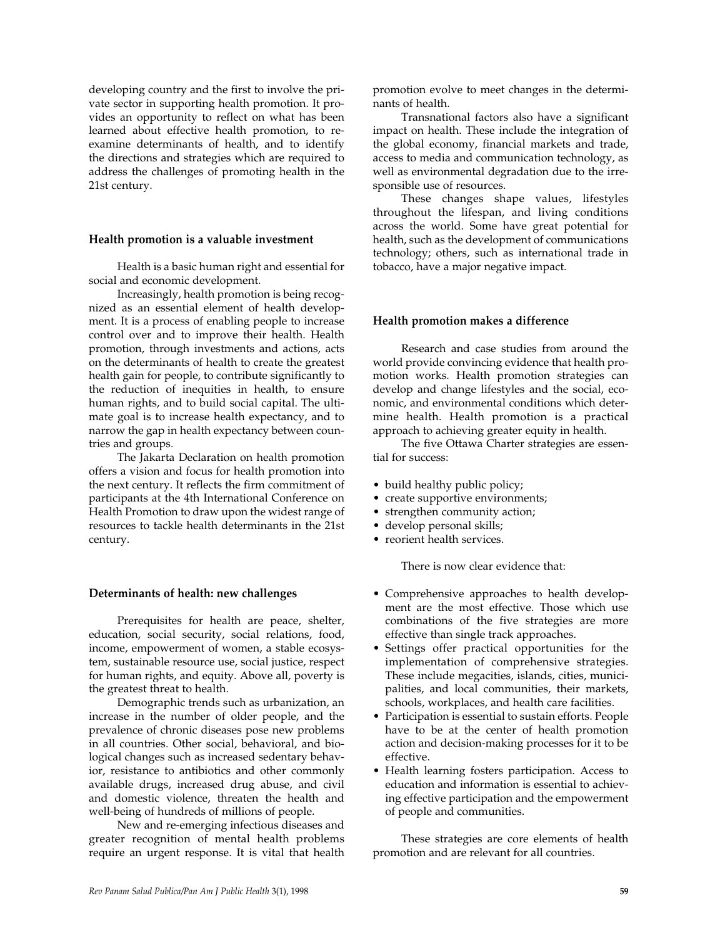developing country and the first to involve the private sector in supporting health promotion. It provides an opportunity to reflect on what has been learned about effective health promotion, to reexamine determinants of health, and to identify the directions and strategies which are required to address the challenges of promoting health in the 21st century.

## **Health promotion is a valuable investment**

Health is a basic human right and essential for social and economic development.

Increasingly, health promotion is being recognized as an essential element of health development. It is a process of enabling people to increase control over and to improve their health. Health promotion, through investments and actions, acts on the determinants of health to create the greatest health gain for people, to contribute significantly to the reduction of inequities in health, to ensure human rights, and to build social capital. The ultimate goal is to increase health expectancy, and to narrow the gap in health expectancy between countries and groups.

The Jakarta Declaration on health promotion offers a vision and focus for health promotion into the next century. It reflects the firm commitment of participants at the 4th International Conference on Health Promotion to draw upon the widest range of resources to tackle health determinants in the 21st century.

## **Determinants of health: new challenges**

Prerequisites for health are peace, shelter, education, social security, social relations, food, income, empowerment of women, a stable ecosystem, sustainable resource use, social justice, respect for human rights, and equity. Above all, poverty is the greatest threat to health.

Demographic trends such as urbanization, an increase in the number of older people, and the prevalence of chronic diseases pose new problems in all countries. Other social, behavioral, and biological changes such as increased sedentary behavior, resistance to antibiotics and other commonly available drugs, increased drug abuse, and civil and domestic violence, threaten the health and well-being of hundreds of millions of people.

New and re-emerging infectious diseases and greater recognition of mental health problems require an urgent response. It is vital that health

promotion evolve to meet changes in the determinants of health.

Transnational factors also have a significant impact on health. These include the integration of the global economy, financial markets and trade, access to media and communication technology, as well as environmental degradation due to the irresponsible use of resources.

These changes shape values, lifestyles throughout the lifespan, and living conditions across the world. Some have great potential for health, such as the development of communications technology; others, such as international trade in tobacco, have a major negative impact.

## **Health promotion makes a difference**

Research and case studies from around the world provide convincing evidence that health promotion works. Health promotion strategies can develop and change lifestyles and the social, economic, and environmental conditions which determine health. Health promotion is a practical approach to achieving greater equity in health.

The five Ottawa Charter strategies are essential for success:

- build healthy public policy;
- create supportive environments;
- strengthen community action;
- develop personal skills;
- reorient health services.

There is now clear evidence that:

- Comprehensive approaches to health development are the most effective. Those which use combinations of the five strategies are more effective than single track approaches.
- Settings offer practical opportunities for the implementation of comprehensive strategies. These include megacities, islands, cities, municipalities, and local communities, their markets, schools, workplaces, and health care facilities.
- Participation is essential to sustain efforts. People have to be at the center of health promotion action and decision-making processes for it to be effective.
- Health learning fosters participation. Access to education and information is essential to achieving effective participation and the empowerment of people and communities.

These strategies are core elements of health promotion and are relevant for all countries.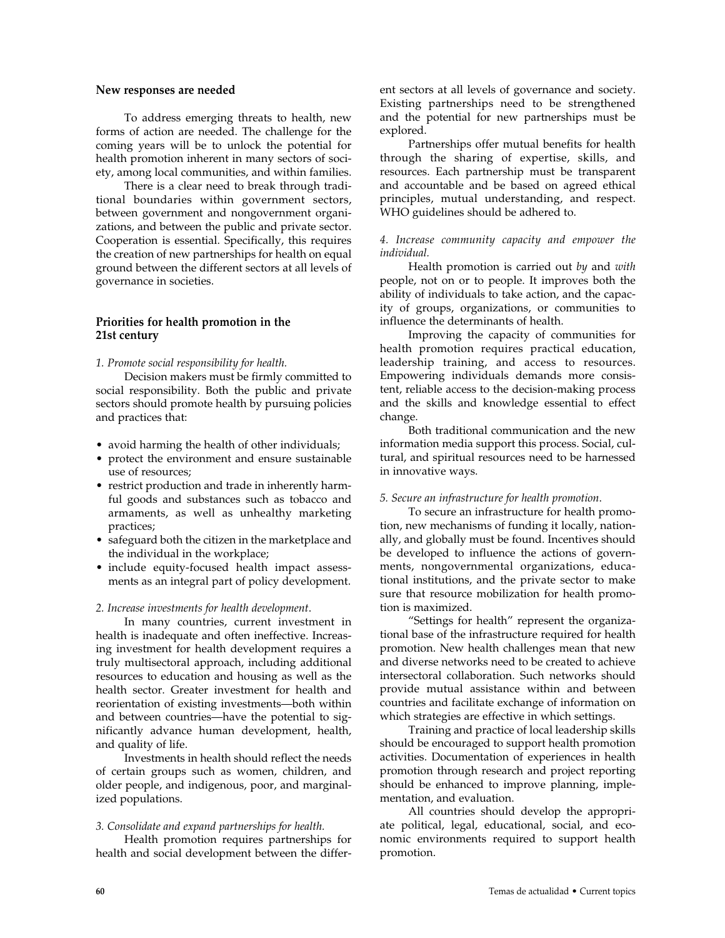### **New responses are needed**

To address emerging threats to health, new forms of action are needed. The challenge for the coming years will be to unlock the potential for health promotion inherent in many sectors of society, among local communities, and within families.

There is a clear need to break through traditional boundaries within government sectors, between government and nongovernment organizations, and between the public and private sector. Cooperation is essential. Specifically, this requires the creation of new partnerships for health on equal ground between the different sectors at all levels of governance in societies.

# **Priorities for health promotion in the 21st century**

*1. Promote social responsibility for health.*

Decision makers must be firmly committed to social responsibility. Both the public and private sectors should promote health by pursuing policies and practices that:

- avoid harming the health of other individuals;
- protect the environment and ensure sustainable use of resources;
- restrict production and trade in inherently harmful goods and substances such as tobacco and armaments, as well as unhealthy marketing practices;
- safeguard both the citizen in the marketplace and the individual in the workplace;
- include equity-focused health impact assessments as an integral part of policy development.

#### *2. Increase investments for health development*.

In many countries, current investment in health is inadequate and often ineffective. Increasing investment for health development requires a truly multisectoral approach, including additional resources to education and housing as well as the health sector. Greater investment for health and reorientation of existing investments—both within and between countries—have the potential to significantly advance human development, health, and quality of life.

Investments in health should reflect the needs of certain groups such as women, children, and older people, and indigenous, poor, and marginalized populations.

#### *3. Consolidate and expand partnerships for health.*

Health promotion requires partnerships for health and social development between the different sectors at all levels of governance and society. Existing partnerships need to be strengthened and the potential for new partnerships must be explored.

Partnerships offer mutual benefits for health through the sharing of expertise, skills, and resources. Each partnership must be transparent and accountable and be based on agreed ethical principles, mutual understanding, and respect. WHO guidelines should be adhered to.

## *4. Increase community capacity and empower the individual.*

Health promotion is carried out *by* and *with* people, not on or to people. It improves both the ability of individuals to take action, and the capacity of groups, organizations, or communities to influence the determinants of health.

Improving the capacity of communities for health promotion requires practical education, leadership training, and access to resources. Empowering individuals demands more consistent, reliable access to the decision-making process and the skills and knowledge essential to effect change.

Both traditional communication and the new information media support this process. Social, cultural, and spiritual resources need to be harnessed in innovative ways.

### *5. Secure an infrastructure for health promotion*.

To secure an infrastructure for health promotion, new mechanisms of funding it locally, nationally, and globally must be found. Incentives should be developed to influence the actions of governments, nongovernmental organizations, educational institutions, and the private sector to make sure that resource mobilization for health promotion is maximized.

"Settings for health" represent the organizational base of the infrastructure required for health promotion. New health challenges mean that new and diverse networks need to be created to achieve intersectoral collaboration. Such networks should provide mutual assistance within and between countries and facilitate exchange of information on which strategies are effective in which settings.

Training and practice of local leadership skills should be encouraged to support health promotion activities. Documentation of experiences in health promotion through research and project reporting should be enhanced to improve planning, implementation, and evaluation.

All countries should develop the appropriate political, legal, educational, social, and economic environments required to support health promotion.